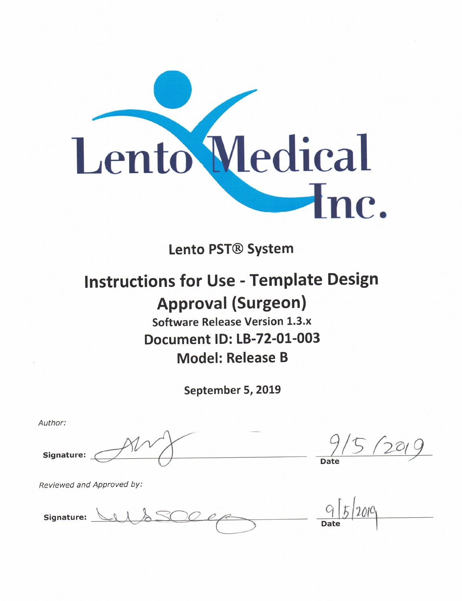

**Lento PST® System** 

## **Instructions for Use - Template Design Approval (Surgeon) Software Release Version 1.3.x Document ID: LB-72-01-003 Model: Release B**

September 5, 2019

Author: Signature:

**Date** 

Reviewed and Approved by:

Signature: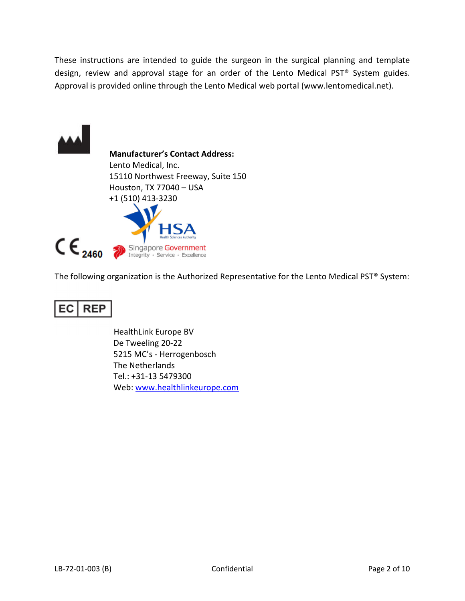These instructions are intended to guide the surgeon in the surgical planning and template design, review and approval stage for an order of the Lento Medical PST® System guides. Approval is provided online through the Lento Medical web portal (www.lentomedical.net).



The following organization is the Authorized Representative for the Lento Medical PST® System:

#### EC **REP**

 HealthLink Europe BV De Tweeling 20-22 5215 MC's - Herrogenbosch The Netherlands Tel.: +31-13 5479300 Web: www.healthlinkeurope.com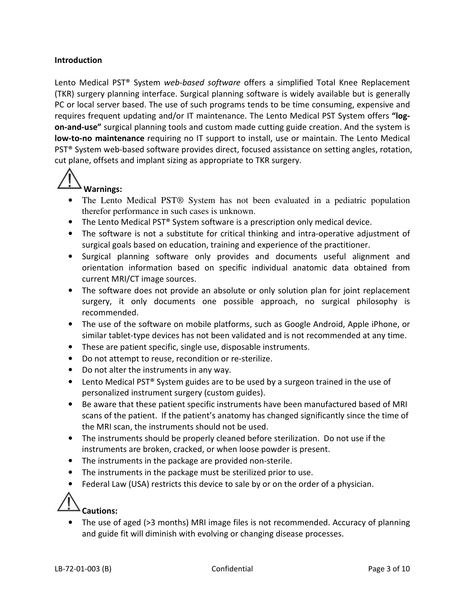#### **Introduction**

Lento Medical PST<sup>®</sup> System web-based software offers a simplified Total Knee Replacement (TKR) surgery planning interface. Surgical planning software is widely available but is generally PC or local server based. The use of such programs tends to be time consuming, expensive and requires frequent updating and/or IT maintenance. The Lento Medical PST System offers "logon-and-use" surgical planning tools and custom made cutting guide creation. And the system is low-to-no maintenance requiring no IT support to install, use or maintain. The Lento Medical PST® System web-based software provides direct, focused assistance on setting angles, rotation, cut plane, offsets and implant sizing as appropriate to TKR surgery.

# Warnings:

- The Lento Medical PST® System has not been evaluated in a pediatric population therefor performance in such cases is unknown.
- The Lento Medical PST® System software is a prescription only medical device.
- The software is not a substitute for critical thinking and intra-operative adjustment of surgical goals based on education, training and experience of the practitioner.
- Surgical planning software only provides and documents useful alignment and orientation information based on specific individual anatomic data obtained from current MRI/CT image sources.
- The software does not provide an absolute or only solution plan for joint replacement surgery, it only documents one possible approach, no surgical philosophy is recommended.
- The use of the software on mobile platforms, such as Google Android, Apple iPhone, or similar tablet-type devices has not been validated and is not recommended at any time.
- These are patient specific, single use, disposable instruments.
- Do not attempt to reuse, recondition or re-sterilize.
- Do not alter the instruments in any way.
- Lento Medical PST® System guides are to be used by a surgeon trained in the use of personalized instrument surgery (custom guides).
- Be aware that these patient specific instruments have been manufactured based of MRI scans of the patient. If the patient's anatomy has changed significantly since the time of the MRI scan, the instruments should not be used.
- The instruments should be properly cleaned before sterilization. Do not use if the instruments are broken, cracked, or when loose powder is present.
- The instruments in the package are provided non-sterile.
- The instruments in the package must be sterilized prior to use.
- Federal Law (USA) restricts this device to sale by or on the order of a physician.



• The use of aged (>3 months) MRI image files is not recommended. Accuracy of planning and guide fit will diminish with evolving or changing disease processes.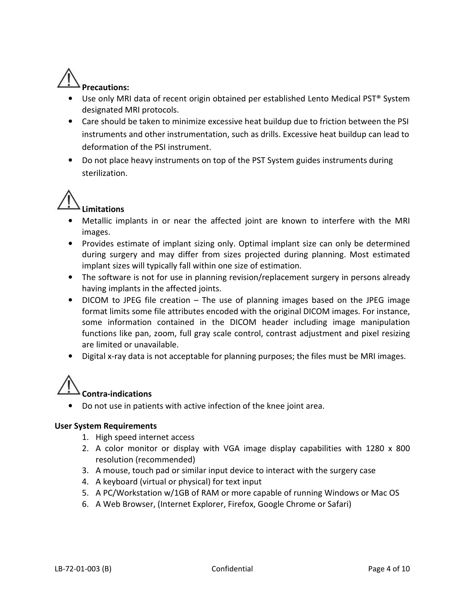

- Use only MRI data of recent origin obtained per established Lento Medical PST® System designated MRI protocols.
- Care should be taken to minimize excessive heat buildup due to friction between the PSI instruments and other instrumentation, such as drills. Excessive heat buildup can lead to deformation of the PSI instrument.
- Do not place heavy instruments on top of the PST System guides instruments during sterilization.



- Metallic implants in or near the affected joint are known to interfere with the MRI images.
- Provides estimate of implant sizing only. Optimal implant size can only be determined during surgery and may differ from sizes projected during planning. Most estimated implant sizes will typically fall within one size of estimation.
- The software is not for use in planning revision/replacement surgery in persons already having implants in the affected joints.
- DICOM to JPEG file creation The use of planning images based on the JPEG image format limits some file attributes encoded with the original DICOM images. For instance, some information contained in the DICOM header including image manipulation functions like pan, zoom, full gray scale control, contrast adjustment and pixel resizing are limited or unavailable.
- Digital x-ray data is not acceptable for planning purposes; the files must be MRI images.



• Do not use in patients with active infection of the knee joint area.

#### User System Requirements

- 1. High speed internet access
- 2. A color monitor or display with VGA image display capabilities with 1280 x 800 resolution (recommended)
- 3. A mouse, touch pad or similar input device to interact with the surgery case
- 4. A keyboard (virtual or physical) for text input
- 5. A PC/Workstation w/1GB of RAM or more capable of running Windows or Mac OS
- 6. A Web Browser, (Internet Explorer, Firefox, Google Chrome or Safari)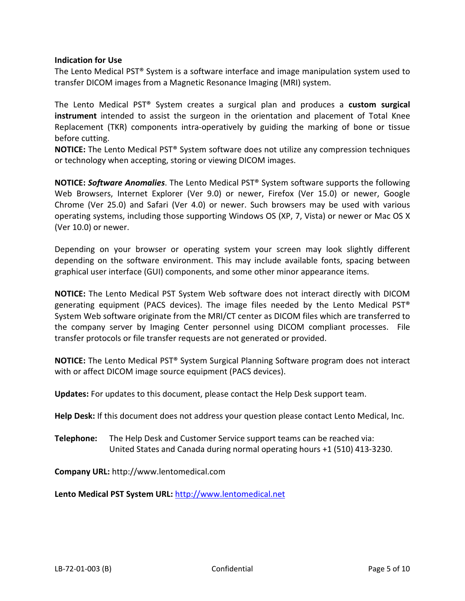#### Indication for Use

The Lento Medical PST® System is a software interface and image manipulation system used to transfer DICOM images from a Magnetic Resonance Imaging (MRI) system.

The Lento Medical PST® System creates a surgical plan and produces a custom surgical instrument intended to assist the surgeon in the orientation and placement of Total Knee Replacement (TKR) components intra-operatively by guiding the marking of bone or tissue before cutting.

NOTICE: The Lento Medical PST® System software does not utilize any compression techniques or technology when accepting, storing or viewing DICOM images.

NOTICE: Software Anomalies. The Lento Medical PST® System software supports the following Web Browsers, Internet Explorer (Ver 9.0) or newer, Firefox (Ver 15.0) or newer, Google Chrome (Ver 25.0) and Safari (Ver 4.0) or newer. Such browsers may be used with various operating systems, including those supporting Windows OS (XP, 7, Vista) or newer or Mac OS X (Ver 10.0) or newer.

Depending on your browser or operating system your screen may look slightly different depending on the software environment. This may include available fonts, spacing between graphical user interface (GUI) components, and some other minor appearance items.

NOTICE: The Lento Medical PST System Web software does not interact directly with DICOM generating equipment (PACS devices). The image files needed by the Lento Medical PST<sup>®</sup> System Web software originate from the MRI/CT center as DICOM files which are transferred to the company server by Imaging Center personnel using DICOM compliant processes. File transfer protocols or file transfer requests are not generated or provided.

NOTICE: The Lento Medical PST® System Surgical Planning Software program does not interact with or affect DICOM image source equipment (PACS devices).

Updates: For updates to this document, please contact the Help Desk support team.

Help Desk: If this document does not address your question please contact Lento Medical, Inc.

Telephone: The Help Desk and Customer Service support teams can be reached via: United States and Canada during normal operating hours +1 (510) 413-3230.

Company URL: http://www.lentomedical.com

Lento Medical PST System URL: http://www.lentomedical.net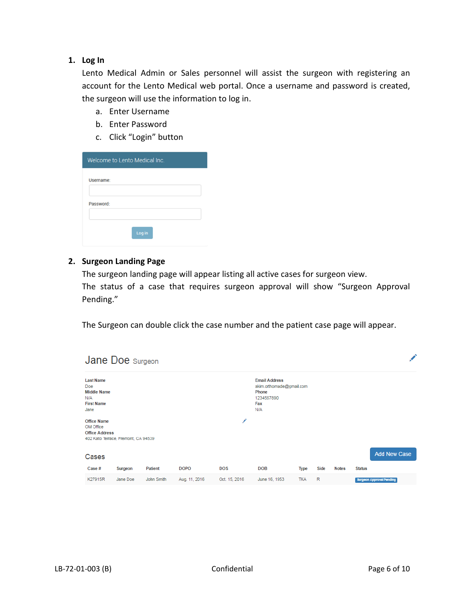#### 1. Log In

Lento Medical Admin or Sales personnel will assist the surgeon with registering an account for the Lento Medical web portal. Once a username and password is created, the surgeon will use the information to log in.

- a. Enter Username
- b. Enter Password
- c. Click "Login" button

| Welcome to Lento Medical Inc. |  |  |
|-------------------------------|--|--|
| Username:                     |  |  |
|                               |  |  |
| Password:                     |  |  |
|                               |  |  |
|                               |  |  |

#### 2. Surgeon Landing Page

The surgeon landing page will appear listing all active cases for surgeon view. The status of a case that requires surgeon approval will show "Surgeon Approval Pending."

The Surgeon can double click the case number and the patient case page will appear.

|                           |                                                             | <b>Jane Doe</b> Surgeon             |            |               |               |                                                                                       |            |      |              |               |                                 |
|---------------------------|-------------------------------------------------------------|-------------------------------------|------------|---------------|---------------|---------------------------------------------------------------------------------------|------------|------|--------------|---------------|---------------------------------|
| <b>Doe</b><br>N/A<br>Jane | <b>Last Name</b><br><b>Middle Name</b><br><b>First Name</b> |                                     |            |               |               | <b>Email Address</b><br>akim.orthomade@gmail.com<br>Phone<br>1234567890<br>Fax<br>N/A |            |      |              |               |                                 |
|                           | <b>Office Name</b><br>OM Office<br><b>Office Address</b>    | 402 Kato Terrace, Fremont, CA 94539 |            |               | ◢             |                                                                                       |            |      |              |               |                                 |
|                           | Cases                                                       |                                     |            |               |               |                                                                                       |            |      |              |               | <b>Add New Case</b>             |
|                           | Case#                                                       | Surgeon                             | Patient    | <b>DOPO</b>   | <b>DOS</b>    | <b>DOB</b>                                                                            | Type       | Side | <b>Notes</b> | <b>Status</b> |                                 |
|                           | K27915R                                                     | Jane Doe                            | John Smith | Aug. 11, 2016 | Oct. 15, 2016 | June 16, 1953                                                                         | <b>TKA</b> | R    |              |               | <b>Surgeon Approval Pending</b> |

 $\mathbf{v}$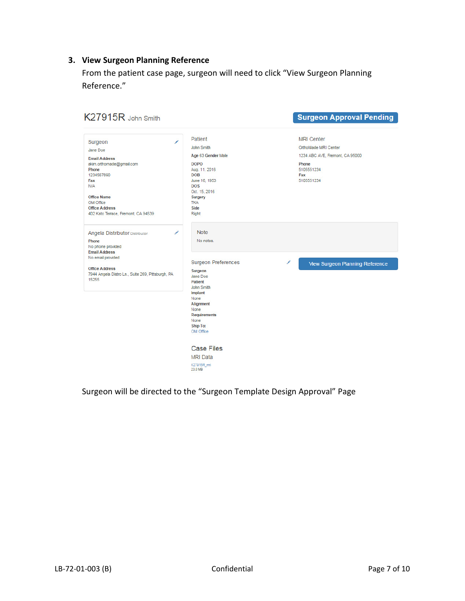### 3. View Surgeon Planning Reference

From the patient case page, surgeon will need to click "View Surgeon Planning Reference."

| K27915R John Smith                                                                                                                                                                                                                                 |                                                                                                                                                                                                               | <b>Surgeon Approval Pending</b>                                                                                          |
|----------------------------------------------------------------------------------------------------------------------------------------------------------------------------------------------------------------------------------------------------|---------------------------------------------------------------------------------------------------------------------------------------------------------------------------------------------------------------|--------------------------------------------------------------------------------------------------------------------------|
| $\overline{\mathscr{E}}$<br>Surgeon<br>Jane Doe<br><b>Email Address</b><br>akim.orthomade@gmail.com<br>Phone<br>1234567890<br>Fax<br><b>N/A</b><br><b>Office Name</b><br>OM Office<br><b>Office Address</b><br>402 Kato Terrace, Fremont, CA 94539 | Patient<br>John Smith<br>Age 63 Gender Male<br><b>DOPO</b><br>Aug. 11, 2016<br><b>DOB</b><br>June 16, 1953<br><b>DOS</b><br>Oct. 15, 2016<br>Surgery<br><b>TKA</b><br>Side<br><b>Right</b>                    | <b>MRI Center</b><br>OrthoMade MRI Center<br>1234 ABC AVE, Fremont, CA 95000<br>Phone<br>5105551234<br>Fax<br>5105551234 |
| ∕<br>Angela Distributor Distributor<br>Phone<br>No phone provided<br><b>Email Address</b><br>No email provided<br><b>Office Address</b><br>7944 Angela Distro Ln., Suite 269, Pittsburgh, PA<br>15255                                              | <b>Note</b><br>No notes.<br><b>Surgeon Preferences</b><br>Surgeon<br>Jane Doe<br>Patient<br>John Smith<br>Implant<br>None<br>Alignment<br>None<br><b>Requirements</b><br>None<br><b>Ship To:</b><br>OM Office | ∕<br><b>View Surgeon Planning Reference</b>                                                                              |
|                                                                                                                                                                                                                                                    | <b>Case Files</b><br><b>MRI Data</b><br>K27915R mri<br>23.0 MB                                                                                                                                                |                                                                                                                          |

Surgeon will be directed to the "Surgeon Template Design Approval" Page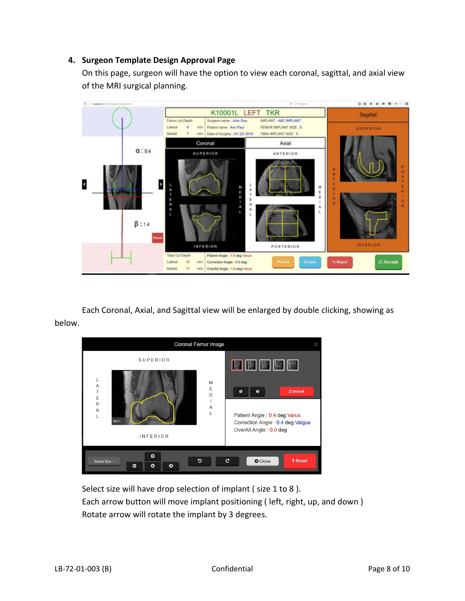#### 4. Surgeon Template Design Approval Page

On this page, surgeon will have the option to view each coronal, sagittal, and axial view of the MRI surgical planning.



Each Coronal, Axial, and Sagittal view will be enlarged by double clicking, showing as below.



Select size will have drop selection of implant (size 1 to 8). Each arrow button will move implant positioning ( left, right, up, and down ) Rotate arrow will rotate the implant by 3 degrees.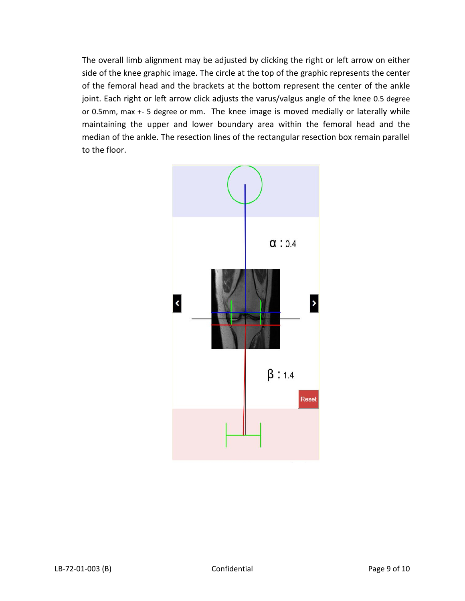The overall limb alignment may be adjusted by clicking the right or left arrow on either side of the knee graphic image. The circle at the top of the graphic represents the center of the femoral head and the brackets at the bottom represent the center of the ankle joint. Each right or left arrow click adjusts the varus/valgus angle of the knee 0.5 degree or 0.5mm, max +- 5 degree or mm. The knee image is moved medially or laterally while maintaining the upper and lower boundary area within the femoral head and the median of the ankle. The resection lines of the rectangular resection box remain parallel to the floor.